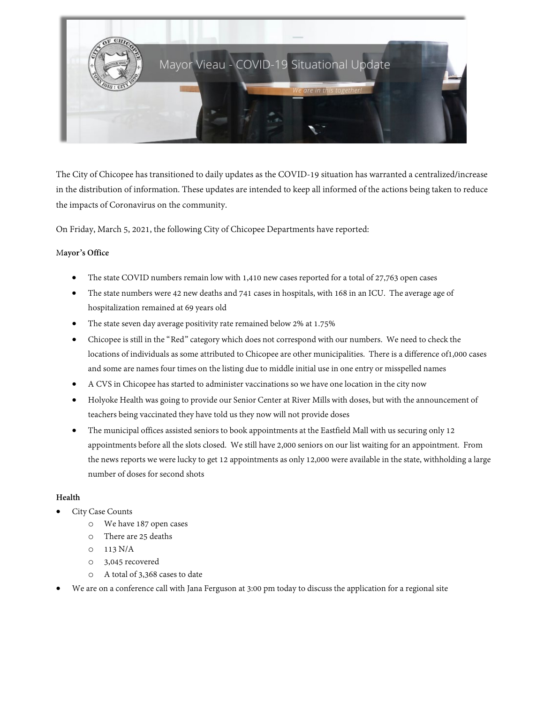

The City of Chicopee has transitioned to daily updates as the COVID-19 situation has warranted a centralized/increase in the distribution of information. These updates are intended to keep all informed of the actions being taken to reduce the impacts of Coronavirus on the community.

On Friday, March 5, 2021, the following City of Chicopee Departments have reported:

## M**ayor's Office**

- The state COVID numbers remain low with 1,410 new cases reported for a total of 27,763 open cases
- The state numbers were 42 new deaths and 741 cases in hospitals, with 168 in an ICU. The average age of hospitalization remained at 69 years old
- The state seven day average positivity rate remained below 2% at 1.75%
- Chicopee is still in the "Red" category which does not correspond with our numbers. We need to check the locations of individuals as some attributed to Chicopee are other municipalities. There is a difference of1,000 cases and some are names four times on the listing due to middle initial use in one entry or misspelled names
- A CVS in Chicopee has started to administer vaccinations so we have one location in the city now
- Holyoke Health was going to provide our Senior Center at River Mills with doses, but with the announcement of teachers being vaccinated they have told us they now will not provide doses
- The municipal offices assisted seniors to book appointments at the Eastfield Mall with us securing only 12 appointments before all the slots closed. Westill have 2,000 seniors on our list waiting for an appointment. From the news reports we were lucky to get 12 appointments as only 12,000 were available in the state, withholding a large number of doses for second shots

# **Health**

- City Case Counts
	- o We have 187 open cases
	- o There are 25 deaths
	- $O = 113 N/A$
	- o 3,045 recovered
	- o A total of 3,368 cases to date
- We are on a conference call with Jana Ferguson at 3:00 pm today to discuss the application for a regional site